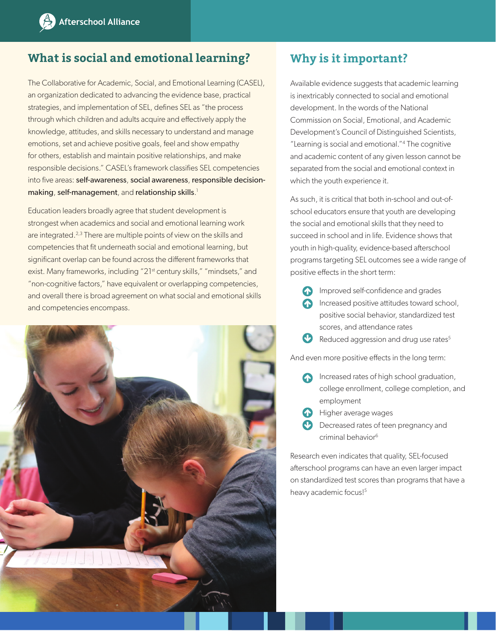## **What is social and emotional learning?**

The Collaborative for Academic, Social, and Emotional Learning (CASEL), an organization dedicated to advancing the evidence base, practical strategies, and implementation of SEL, defines SEL as "the process through which children and adults acquire and effectively apply the knowledge, attitudes, and skills necessary to understand and manage emotions, set and achieve positive goals, feel and show empathy for others, establish and maintain positive relationships, and make responsible decisions." CASEL's framework classifies SEL competencies into five areas: self-awareness, social awareness, responsible decisionmaking, self-management, and relationship skills.<sup>1</sup>

Education leaders broadly agree that student development is strongest when academics and social and emotional learning work are integrated.<sup>2,3</sup> There are multiple points of view on the skills and competencies that fit underneath social and emotional learning, but significant overlap can be found across the different frameworks that exist. Many frameworks, including "21<sup>st</sup> century skills," "mindsets," and "non-cognitive factors," have equivalent or overlapping competencies, and overall there is broad agreement on what social and emotional skills and competencies encompass.



## **Why is it important?**

Available evidence suggests that academic learning is inextricably connected to social and emotional development. In the words of the National Commission on Social, Emotional, and Academic Development's Council of Distinguished Scientists, "Learning is social and emotional."4 The cognitive and academic content of any given lesson cannot be separated from the social and emotional context in which the youth experience it.

As such, it is critical that both in-school and out-ofschool educators ensure that youth are developing the social and emotional skills that they need to succeed in school and in life. Evidence shows that youth in high-quality, evidence-based afterschool programs targeting SEL outcomes see a wide range of positive effects in the short term:

- **Improved self-confidence and grades** • Increased positive attitudes toward school, positive social behavior, standardized test scores, and attendance rates
- $\bullet$  Reduced aggression and drug use rates<sup>5</sup>

And even more positive effects in the long term:

- **Increased rates of high school graduation,** college enrollment, college completion, and employment
- **•** Higher average wages
- Decreased rates of teen pregnancy and criminal behavior<sup>6</sup>

Research even indicates that quality, SEL-focused afterschool programs can have an even larger impact on standardized test scores than programs that have a heavy academic focus!<sup>5</sup>